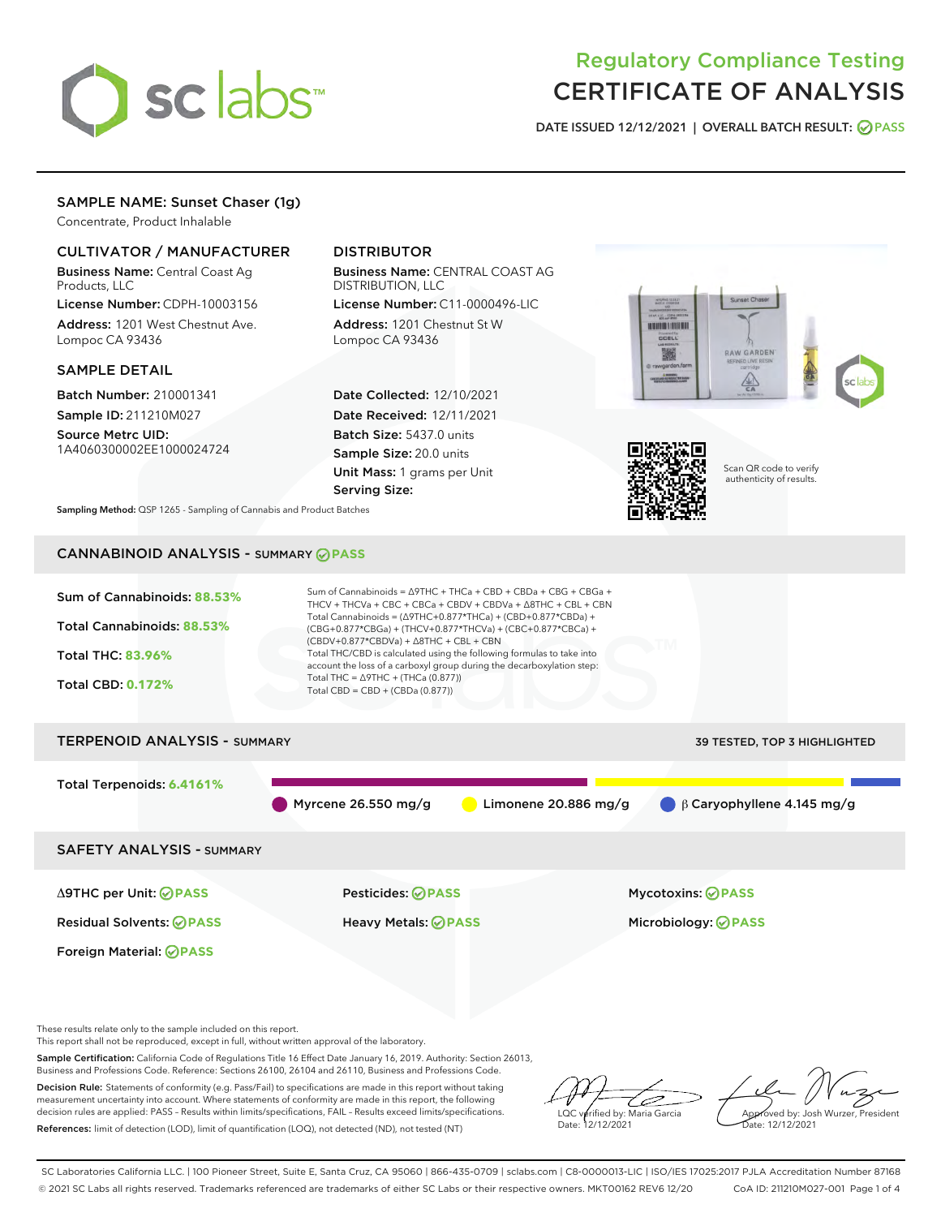

# Regulatory Compliance Testing CERTIFICATE OF ANALYSIS

DATE ISSUED 12/12/2021 | OVERALL BATCH RESULT: @ PASS

# SAMPLE NAME: Sunset Chaser (1g)

Concentrate, Product Inhalable

## CULTIVATOR / MANUFACTURER

Business Name: Central Coast Ag Products, LLC

License Number: CDPH-10003156 Address: 1201 West Chestnut Ave. Lompoc CA 93436

#### SAMPLE DETAIL

Batch Number: 210001341 Sample ID: 211210M027

Source Metrc UID: 1A4060300002EE1000024724

# DISTRIBUTOR

Business Name: CENTRAL COAST AG DISTRIBUTION, LLC

License Number: C11-0000496-LIC Address: 1201 Chestnut St W Lompoc CA 93436

Date Collected: 12/10/2021 Date Received: 12/11/2021 Batch Size: 5437.0 units Sample Size: 20.0 units Unit Mass: 1 grams per Unit Serving Size:





Scan QR code to verify authenticity of results.

Sampling Method: QSP 1265 - Sampling of Cannabis and Product Batches

# CANNABINOID ANALYSIS - SUMMARY **PASS**



These results relate only to the sample included on this report.

This report shall not be reproduced, except in full, without written approval of the laboratory.

Sample Certification: California Code of Regulations Title 16 Effect Date January 16, 2019. Authority: Section 26013, Business and Professions Code. Reference: Sections 26100, 26104 and 26110, Business and Professions Code.

Decision Rule: Statements of conformity (e.g. Pass/Fail) to specifications are made in this report without taking measurement uncertainty into account. Where statements of conformity are made in this report, the following decision rules are applied: PASS – Results within limits/specifications, FAIL – Results exceed limits/specifications. References: limit of detection (LOD), limit of quantification (LOQ), not detected (ND), not tested (NT)

ىر LQC verified by: Maria Garcia Date: 12/12/2021

Approved by: Josh Wurzer, President ate: 12/12/2021

SC Laboratories California LLC. | 100 Pioneer Street, Suite E, Santa Cruz, CA 95060 | 866-435-0709 | sclabs.com | C8-0000013-LIC | ISO/IES 17025:2017 PJLA Accreditation Number 87168 © 2021 SC Labs all rights reserved. Trademarks referenced are trademarks of either SC Labs or their respective owners. MKT00162 REV6 12/20 CoA ID: 211210M027-001 Page 1 of 4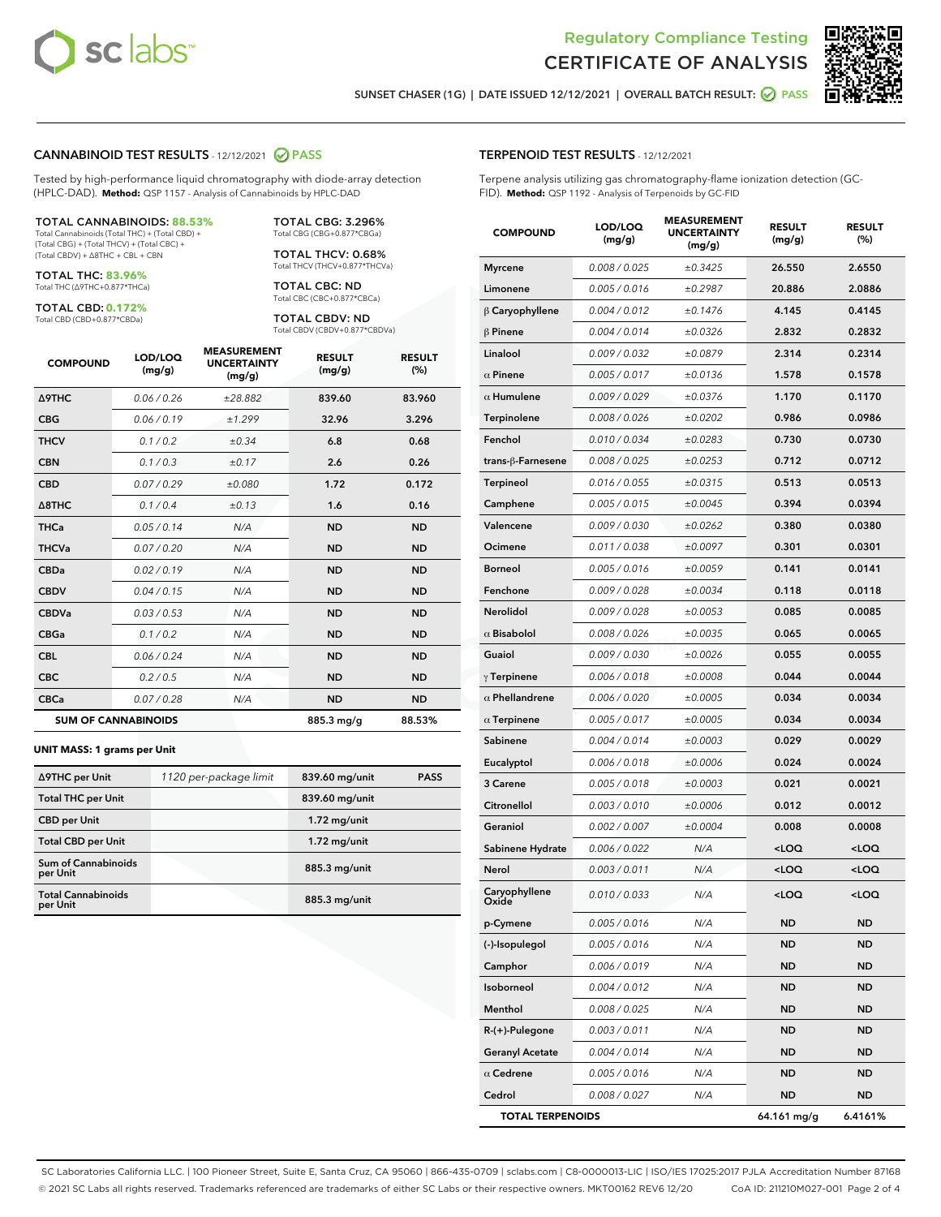



SUNSET CHASER (1G) | DATE ISSUED 12/12/2021 | OVERALL BATCH RESULT: @ PASS

## CANNABINOID TEST RESULTS - 12/12/2021 2 PASS

Tested by high-performance liquid chromatography with diode-array detection (HPLC-DAD). **Method:** QSP 1157 - Analysis of Cannabinoids by HPLC-DAD

#### TOTAL CANNABINOIDS: **88.53%**

Total Cannabinoids (Total THC) + (Total CBD) + (Total CBG) + (Total THCV) + (Total CBC) + (Total CBDV) + ∆8THC + CBL + CBN

TOTAL THC: **83.96%** Total THC (∆9THC+0.877\*THCa)

TOTAL CBD: **0.172%**

Total CBD (CBD+0.877\*CBDa)

TOTAL CBG: 3.296% Total CBG (CBG+0.877\*CBGa)

TOTAL THCV: 0.68% Total THCV (THCV+0.877\*THCVa)

TOTAL CBC: ND Total CBC (CBC+0.877\*CBCa)

TOTAL CBDV: ND Total CBDV (CBDV+0.877\*CBDVa)

| <b>COMPOUND</b>  | LOD/LOQ<br>(mg/g)          | <b>MEASUREMENT</b><br><b>UNCERTAINTY</b><br>(mg/g) | <b>RESULT</b><br>(mg/g) | <b>RESULT</b><br>(%) |
|------------------|----------------------------|----------------------------------------------------|-------------------------|----------------------|
| <b>A9THC</b>     | 0.06 / 0.26                | ±28.882                                            | 839.60                  | 83.960               |
| <b>CBG</b>       | 0.06/0.19                  | ±1.299                                             | 32.96                   | 3.296                |
| <b>THCV</b>      | 0.1 / 0.2                  | $\pm 0.34$                                         | 6.8                     | 0.68                 |
| <b>CBN</b>       | 0.1/0.3                    | ±0.17                                              | 2.6                     | 0.26                 |
| <b>CBD</b>       | 0.07/0.29                  | ±0.080                                             | 1.72                    | 0.172                |
| $\triangle$ 8THC | 0.1 / 0.4                  | ±0.13                                              | 1.6                     | 0.16                 |
| THCa             | 0.05/0.14                  | N/A                                                | <b>ND</b>               | <b>ND</b>            |
| <b>THCVa</b>     | 0.07/0.20                  | N/A                                                | <b>ND</b>               | <b>ND</b>            |
| <b>CBDa</b>      | 0.02/0.19                  | N/A                                                | <b>ND</b>               | <b>ND</b>            |
| <b>CBDV</b>      | 0.04 / 0.15                | N/A                                                | <b>ND</b>               | <b>ND</b>            |
| <b>CBDVa</b>     | 0.03/0.53                  | N/A                                                | <b>ND</b>               | <b>ND</b>            |
| <b>CBGa</b>      | 0.1/0.2                    | N/A                                                | <b>ND</b>               | <b>ND</b>            |
| <b>CBL</b>       | 0.06 / 0.24                | N/A                                                | <b>ND</b>               | <b>ND</b>            |
| <b>CBC</b>       | 0.2 / 0.5                  | N/A                                                | <b>ND</b>               | <b>ND</b>            |
| <b>CBCa</b>      | 0.07/0.28                  | N/A                                                | <b>ND</b>               | <b>ND</b>            |
|                  | <b>SUM OF CANNABINOIDS</b> |                                                    | 885.3 mg/g              | 88.53%               |

#### **UNIT MASS: 1 grams per Unit**

| ∆9THC per Unit                         | 1120 per-package limit | 839.60 mg/unit  | <b>PASS</b> |
|----------------------------------------|------------------------|-----------------|-------------|
| <b>Total THC per Unit</b>              |                        | 839.60 mg/unit  |             |
| <b>CBD</b> per Unit                    |                        | $1.72$ mg/unit  |             |
| <b>Total CBD per Unit</b>              |                        | $1.72$ mg/unit  |             |
| <b>Sum of Cannabinoids</b><br>per Unit |                        | 885.3 mg/unit   |             |
| <b>Total Cannabinoids</b><br>per Unit  |                        | $885.3$ mg/unit |             |

| <b>COMPOUND</b>         | LOD/LOQ<br>(mg/g) | <b>MEASUREMENT</b><br><b>UNCERTAINTY</b><br>(mg/g) | <b>RESULT</b><br>(mg/g)                          | <b>RESULT</b><br>$(\%)$ |
|-------------------------|-------------------|----------------------------------------------------|--------------------------------------------------|-------------------------|
| <b>Myrcene</b>          | 0.008 / 0.025     | ±0.3425                                            | 26.550                                           | 2.6550                  |
| Limonene                | 0.005 / 0.016     | ±0.2987                                            | 20.886                                           | 2.0886                  |
| $\beta$ Caryophyllene   | 0.004 / 0.012     | ±0.1476                                            | 4.145                                            | 0.4145                  |
| $\beta$ Pinene          | 0.004 / 0.014     | ±0.0326                                            | 2.832                                            | 0.2832                  |
| Linalool                | 0.009 / 0.032     | ±0.0879                                            | 2.314                                            | 0.2314                  |
| $\alpha$ Pinene         | 0.005 / 0.017     | ±0.0136                                            | 1.578                                            | 0.1578                  |
| $\alpha$ Humulene       | 0.009/0.029       | ±0.0376                                            | 1.170                                            | 0.1170                  |
| Terpinolene             | 0.008 / 0.026     | ±0.0202                                            | 0.986                                            | 0.0986                  |
| Fenchol                 | 0.010 / 0.034     | ±0.0283                                            | 0.730                                            | 0.0730                  |
| trans-ß-Farnesene       | 0.008 / 0.025     | ±0.0253                                            | 0.712                                            | 0.0712                  |
| Terpineol               | 0.016 / 0.055     | ±0.0315                                            | 0.513                                            | 0.0513                  |
| Camphene                | 0.005 / 0.015     | ±0.0045                                            | 0.394                                            | 0.0394                  |
| Valencene               | 0.009 / 0.030     | ±0.0262                                            | 0.380                                            | 0.0380                  |
| Ocimene                 | 0.011 / 0.038     | ±0.0097                                            | 0.301                                            | 0.0301                  |
| <b>Borneol</b>          | 0.005 / 0.016     | ±0.0059                                            | 0.141                                            | 0.0141                  |
| Fenchone                | 0.009 / 0.028     | ±0.0034                                            | 0.118                                            | 0.0118                  |
| Nerolidol               | 0.009 / 0.028     | ±0.0053                                            | 0.085                                            | 0.0085                  |
| $\alpha$ Bisabolol      | 0.008 / 0.026     | ±0.0035                                            | 0.065                                            | 0.0065                  |
| Guaiol                  | 0.009 / 0.030     | ±0.0026                                            | 0.055                                            | 0.0055                  |
| $\gamma$ Terpinene      | 0.006 / 0.018     | ±0.0008                                            | 0.044                                            | 0.0044                  |
| $\alpha$ Phellandrene   | 0.006 / 0.020     | ±0.0005                                            | 0.034                                            | 0.0034                  |
| $\alpha$ Terpinene      | 0.005 / 0.017     | ±0.0005                                            | 0.034                                            | 0.0034                  |
| Sabinene                | 0.004 / 0.014     | ±0.0003                                            | 0.029                                            | 0.0029                  |
| Eucalyptol              | 0.006 / 0.018     | ±0.0006                                            | 0.024                                            | 0.0024                  |
| 3 Carene                | 0.005 / 0.018     | ±0.0003                                            | 0.021                                            | 0.0021                  |
| Citronellol             | 0.003 / 0.010     | ±0.0006                                            | 0.012                                            | 0.0012                  |
| Geraniol                | 0.002 / 0.007     | ±0.0004                                            | 0.008                                            | 0.0008                  |
| Sabinene Hydrate        | 0.006 / 0.022     | N/A                                                | <loq< th=""><th><math>&lt;</math>LOQ</th></loq<> | $<$ LOQ                 |
| Nerol                   | 0.003 / 0.011     | N/A                                                | <loq< th=""><th><loq< th=""></loq<></th></loq<>  | <loq< th=""></loq<>     |
| Caryophyllene<br>Oxide  | 0.010 / 0.033     | N/A                                                | <loq< th=""><th><loq< th=""></loq<></th></loq<>  | <loq< th=""></loq<>     |
| p-Cymene                | 0.005 / 0.016     | N/A                                                | ND                                               | ND                      |
| (-)-Isopulegol          | 0.005 / 0.016     | N/A                                                | ND                                               | <b>ND</b>               |
| Camphor                 | 0.006 / 0.019     | N/A                                                | ND                                               | ND                      |
| Isoborneol              | 0.004 / 0.012     | N/A                                                | ND                                               | <b>ND</b>               |
| Menthol                 | 0.008 / 0.025     | N/A                                                | ND                                               | <b>ND</b>               |
| $R-(+)$ -Pulegone       | 0.003 / 0.011     | N/A                                                | ND                                               | ND                      |
| <b>Geranyl Acetate</b>  | 0.004 / 0.014     | N/A                                                | ND                                               | <b>ND</b>               |
| $\alpha$ Cedrene        | 0.005 / 0.016     | N/A                                                | ND                                               | <b>ND</b>               |
| Cedrol                  | 0.008 / 0.027     | N/A                                                | ND                                               | ND                      |
| <b>TOTAL TERPENOIDS</b> |                   |                                                    | 64.161 mg/g                                      | 6.4161%                 |

SC Laboratories California LLC. | 100 Pioneer Street, Suite E, Santa Cruz, CA 95060 | 866-435-0709 | sclabs.com | C8-0000013-LIC | ISO/IES 17025:2017 PJLA Accreditation Number 87168 © 2021 SC Labs all rights reserved. Trademarks referenced are trademarks of either SC Labs or their respective owners. MKT00162 REV6 12/20 CoA ID: 211210M027-001 Page 2 of 4

# TERPENOID TEST RESULTS - 12/12/2021

Terpene analysis utilizing gas chromatography-flame ionization detection (GC-FID). **Method:** QSP 1192 - Analysis of Terpenoids by GC-FID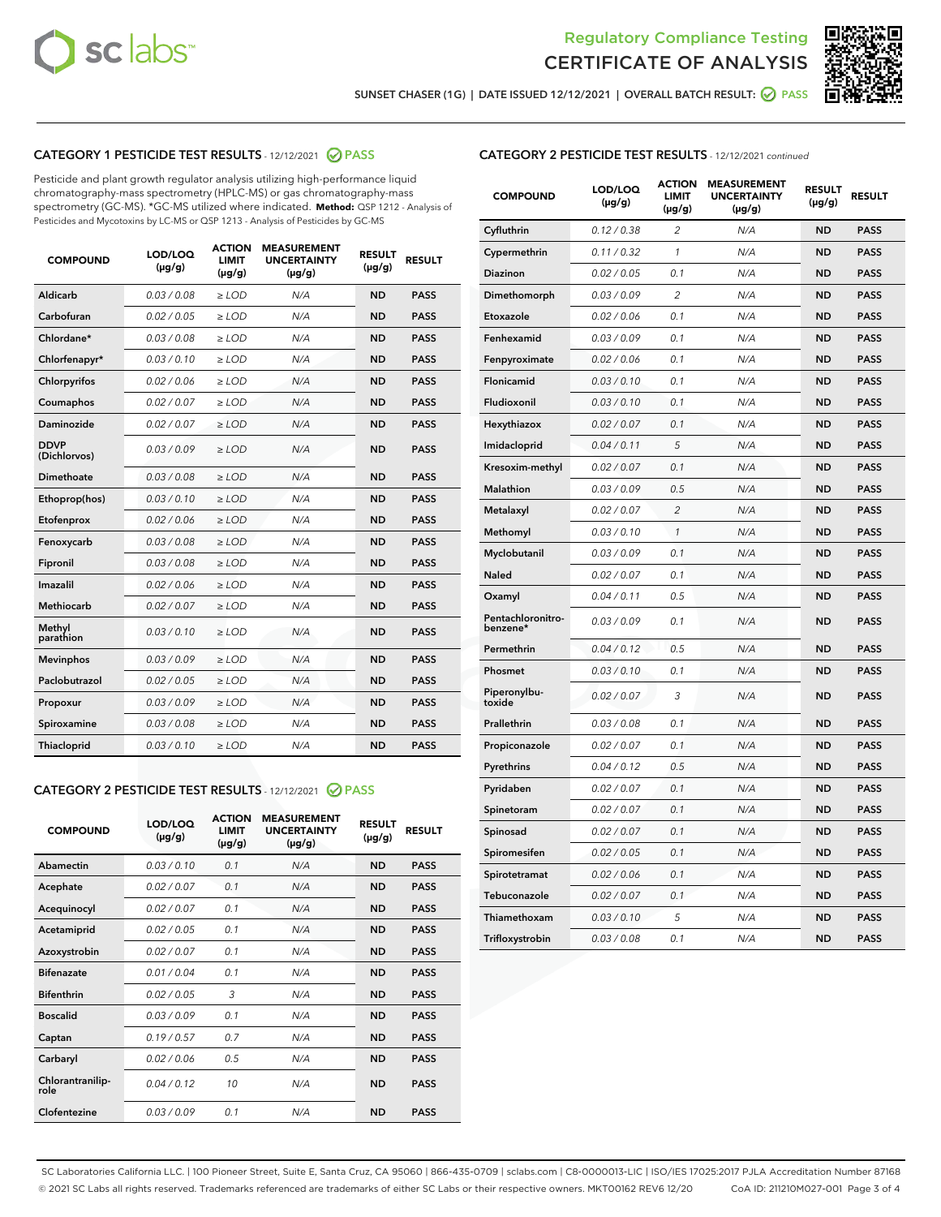



SUNSET CHASER (1G) | DATE ISSUED 12/12/2021 | OVERALL BATCH RESULT: @ PASS

# CATEGORY 1 PESTICIDE TEST RESULTS - 12/12/2021 2 PASS

Pesticide and plant growth regulator analysis utilizing high-performance liquid chromatography-mass spectrometry (HPLC-MS) or gas chromatography-mass spectrometry (GC-MS). \*GC-MS utilized where indicated. **Method:** QSP 1212 - Analysis of Pesticides and Mycotoxins by LC-MS or QSP 1213 - Analysis of Pesticides by GC-MS

| <b>COMPOUND</b>             | LOD/LOQ<br>$(\mu g/g)$ | <b>ACTION</b><br><b>LIMIT</b><br>$(\mu g/g)$ | <b>MEASUREMENT</b><br><b>UNCERTAINTY</b><br>$(\mu g/g)$ | <b>RESULT</b><br>$(\mu g/g)$ | <b>RESULT</b> |
|-----------------------------|------------------------|----------------------------------------------|---------------------------------------------------------|------------------------------|---------------|
| Aldicarb                    | 0.03 / 0.08            | $\ge$ LOD                                    | N/A                                                     | <b>ND</b>                    | <b>PASS</b>   |
| Carbofuran                  | 0.02/0.05              | $\ge$ LOD                                    | N/A                                                     | <b>ND</b>                    | <b>PASS</b>   |
| Chlordane*                  | 0.03 / 0.08            | $\ge$ LOD                                    | N/A                                                     | <b>ND</b>                    | <b>PASS</b>   |
| Chlorfenapyr*               | 0.03/0.10              | $\ge$ LOD                                    | N/A                                                     | <b>ND</b>                    | <b>PASS</b>   |
| Chlorpyrifos                | 0.02 / 0.06            | $\ge$ LOD                                    | N/A                                                     | <b>ND</b>                    | <b>PASS</b>   |
| Coumaphos                   | 0.02 / 0.07            | $>$ LOD                                      | N/A                                                     | <b>ND</b>                    | <b>PASS</b>   |
| Daminozide                  | 0.02 / 0.07            | $\ge$ LOD                                    | N/A                                                     | <b>ND</b>                    | <b>PASS</b>   |
| <b>DDVP</b><br>(Dichlorvos) | 0.03/0.09              | $\ge$ LOD                                    | N/A                                                     | <b>ND</b>                    | <b>PASS</b>   |
| Dimethoate                  | 0.03 / 0.08            | $>$ LOD                                      | N/A                                                     | <b>ND</b>                    | <b>PASS</b>   |
| Ethoprop(hos)               | 0.03/0.10              | $\ge$ LOD                                    | N/A                                                     | <b>ND</b>                    | <b>PASS</b>   |
| Etofenprox                  | 0.02 / 0.06            | $\ge$ LOD                                    | N/A                                                     | <b>ND</b>                    | <b>PASS</b>   |
| Fenoxycarb                  | 0.03 / 0.08            | $>$ LOD                                      | N/A                                                     | <b>ND</b>                    | <b>PASS</b>   |
| Fipronil                    | 0.03/0.08              | $\ge$ LOD                                    | N/A                                                     | <b>ND</b>                    | <b>PASS</b>   |
| Imazalil                    | 0.02 / 0.06            | $>$ LOD                                      | N/A                                                     | <b>ND</b>                    | <b>PASS</b>   |
| Methiocarb                  | 0.02 / 0.07            | $\ge$ LOD                                    | N/A                                                     | <b>ND</b>                    | <b>PASS</b>   |
| Methyl<br>parathion         | 0.03/0.10              | $\ge$ LOD                                    | N/A                                                     | <b>ND</b>                    | <b>PASS</b>   |
| <b>Mevinphos</b>            | 0.03/0.09              | $\ge$ LOD                                    | N/A                                                     | <b>ND</b>                    | <b>PASS</b>   |
| Paclobutrazol               | 0.02 / 0.05            | $\ge$ LOD                                    | N/A                                                     | <b>ND</b>                    | <b>PASS</b>   |
| Propoxur                    | 0.03/0.09              | $\ge$ LOD                                    | N/A                                                     | <b>ND</b>                    | <b>PASS</b>   |
| Spiroxamine                 | 0.03 / 0.08            | $\ge$ LOD                                    | N/A                                                     | <b>ND</b>                    | <b>PASS</b>   |
| Thiacloprid                 | 0.03/0.10              | $\ge$ LOD                                    | N/A                                                     | <b>ND</b>                    | <b>PASS</b>   |

### CATEGORY 2 PESTICIDE TEST RESULTS - 12/12/2021 @ PASS

| <b>COMPOUND</b>          | LOD/LOO<br>$(\mu g/g)$ | <b>ACTION</b><br>LIMIT<br>$(\mu g/g)$ | <b>MEASUREMENT</b><br><b>UNCERTAINTY</b><br>$(\mu g/g)$ | <b>RESULT</b><br>$(\mu g/g)$ | <b>RESULT</b> |  |
|--------------------------|------------------------|---------------------------------------|---------------------------------------------------------|------------------------------|---------------|--|
| Abamectin                | 0.03/0.10              | 0.1                                   | N/A                                                     | <b>ND</b>                    | <b>PASS</b>   |  |
| Acephate                 | 0.02/0.07              | 0.1                                   | N/A                                                     | <b>ND</b>                    | <b>PASS</b>   |  |
| Acequinocyl              | 0.02/0.07              | 0.1                                   | N/A                                                     | <b>ND</b>                    | <b>PASS</b>   |  |
| Acetamiprid              | 0.02 / 0.05            | 0.1                                   | N/A                                                     | <b>ND</b>                    | <b>PASS</b>   |  |
| Azoxystrobin             | 0.02/0.07              | 0.1                                   | N/A                                                     | <b>ND</b>                    | <b>PASS</b>   |  |
| <b>Bifenazate</b>        | 0.01 / 0.04            | 0.1                                   | N/A                                                     | <b>ND</b>                    | <b>PASS</b>   |  |
| <b>Bifenthrin</b>        | 0.02 / 0.05            | 3                                     | N/A                                                     | <b>ND</b>                    | <b>PASS</b>   |  |
| <b>Boscalid</b>          | 0.03/0.09              | 0.1                                   | N/A                                                     | <b>ND</b>                    | <b>PASS</b>   |  |
| Captan                   | 0.19/0.57              | 0.7                                   | N/A                                                     | <b>ND</b>                    | <b>PASS</b>   |  |
| Carbaryl                 | 0.02/0.06              | 0.5                                   | N/A                                                     | <b>ND</b>                    | <b>PASS</b>   |  |
| Chlorantranilip-<br>role | 0.04/0.12              | 10                                    | N/A                                                     | <b>ND</b>                    | <b>PASS</b>   |  |
| Clofentezine             | 0.03/0.09              | 0.1                                   | N/A                                                     | <b>ND</b>                    | <b>PASS</b>   |  |

| <b>COMPOUND</b>               | LOD/LOQ<br>$(\mu g/g)$ | <b>ACTION</b><br><b>LIMIT</b><br>(µg/g) | <b>MEASUREMENT</b><br><b>UNCERTAINTY</b><br>$(\mu g/g)$ | <b>RESULT</b><br>$(\mu g/g)$ | <b>RESULT</b> |
|-------------------------------|------------------------|-----------------------------------------|---------------------------------------------------------|------------------------------|---------------|
| Cyfluthrin                    | 0.12 / 0.38            | $\overline{c}$                          | N/A                                                     | <b>ND</b>                    | <b>PASS</b>   |
| Cypermethrin                  | 0.11 / 0.32            | 1                                       | N/A                                                     | <b>ND</b>                    | <b>PASS</b>   |
| Diazinon                      | 0.02 / 0.05            | 0.1                                     | N/A                                                     | <b>ND</b>                    | <b>PASS</b>   |
| Dimethomorph                  | 0.03 / 0.09            | $\overline{2}$                          | N/A                                                     | ND                           | <b>PASS</b>   |
| Etoxazole                     | 0.02 / 0.06            | 0.1                                     | N/A                                                     | <b>ND</b>                    | <b>PASS</b>   |
| Fenhexamid                    | 0.03 / 0.09            | 0.1                                     | N/A                                                     | ND                           | <b>PASS</b>   |
| Fenpyroximate                 | 0.02 / 0.06            | 0.1                                     | N/A                                                     | <b>ND</b>                    | <b>PASS</b>   |
| Flonicamid                    | 0.03 / 0.10            | 0.1                                     | N/A                                                     | ND                           | <b>PASS</b>   |
| Fludioxonil                   | 0.03 / 0.10            | 0.1                                     | N/A                                                     | <b>ND</b>                    | <b>PASS</b>   |
| Hexythiazox                   | 0.02 / 0.07            | 0.1                                     | N/A                                                     | <b>ND</b>                    | <b>PASS</b>   |
| Imidacloprid                  | 0.04 / 0.11            | 5                                       | N/A                                                     | ND                           | <b>PASS</b>   |
| Kresoxim-methyl               | 0.02 / 0.07            | 0.1                                     | N/A                                                     | ND                           | <b>PASS</b>   |
| Malathion                     | 0.03 / 0.09            | 0.5                                     | N/A                                                     | <b>ND</b>                    | <b>PASS</b>   |
| Metalaxyl                     | 0.02 / 0.07            | $\overline{c}$                          | N/A                                                     | ND                           | <b>PASS</b>   |
| Methomyl                      | 0.03 / 0.10            | 1                                       | N/A                                                     | ND                           | <b>PASS</b>   |
| Myclobutanil                  | 0.03 / 0.09            | 0.1                                     | N/A                                                     | <b>ND</b>                    | <b>PASS</b>   |
| Naled                         | 0.02 / 0.07            | 0.1                                     | N/A                                                     | ND                           | <b>PASS</b>   |
| Oxamyl                        | 0.04 / 0.11            | 0.5                                     | N/A                                                     | ND                           | <b>PASS</b>   |
| Pentachloronitro-<br>benzene* | 0.03 / 0.09            | 0.1                                     | N/A                                                     | ND                           | <b>PASS</b>   |
| Permethrin                    | 0.04/0.12              | 0.5                                     | N/A                                                     | <b>ND</b>                    | <b>PASS</b>   |
| Phosmet                       | 0.03 / 0.10            | 0.1                                     | N/A                                                     | ND                           | <b>PASS</b>   |
| Piperonylbu-<br>toxide        | 0.02 / 0.07            | 3                                       | N/A                                                     | <b>ND</b>                    | <b>PASS</b>   |
| Prallethrin                   | 0.03 / 0.08            | 0.1                                     | N/A                                                     | <b>ND</b>                    | <b>PASS</b>   |
| Propiconazole                 | 0.02 / 0.07            | 0.1                                     | N/A                                                     | ND                           | <b>PASS</b>   |
| Pyrethrins                    | 0.04 / 0.12            | 0.5                                     | N/A                                                     | ND                           | <b>PASS</b>   |
| Pyridaben                     | 0.02 / 0.07            | 0.1                                     | N/A                                                     | ND                           | <b>PASS</b>   |
| Spinetoram                    | 0.02 / 0.07            | 0.1                                     | N/A                                                     | <b>ND</b>                    | <b>PASS</b>   |
| Spinosad                      | 0.02 / 0.07            | 0.1                                     | N/A                                                     | <b>ND</b>                    | <b>PASS</b>   |
| Spiromesifen                  | 0.02 / 0.05            | 0.1                                     | N/A                                                     | <b>ND</b>                    | <b>PASS</b>   |
| Spirotetramat                 | 0.02 / 0.06            | 0.1                                     | N/A                                                     | ND                           | <b>PASS</b>   |
| Tebuconazole                  | 0.02 / 0.07            | 0.1                                     | N/A                                                     | ND                           | <b>PASS</b>   |
| Thiamethoxam                  | 0.03 / 0.10            | 5                                       | N/A                                                     | ND                           | <b>PASS</b>   |
| Trifloxystrobin               | 0.03 / 0.08            | 0.1                                     | N/A                                                     | ND                           | <b>PASS</b>   |

SC Laboratories California LLC. | 100 Pioneer Street, Suite E, Santa Cruz, CA 95060 | 866-435-0709 | sclabs.com | C8-0000013-LIC | ISO/IES 17025:2017 PJLA Accreditation Number 87168 © 2021 SC Labs all rights reserved. Trademarks referenced are trademarks of either SC Labs or their respective owners. MKT00162 REV6 12/20 CoA ID: 211210M027-001 Page 3 of 4